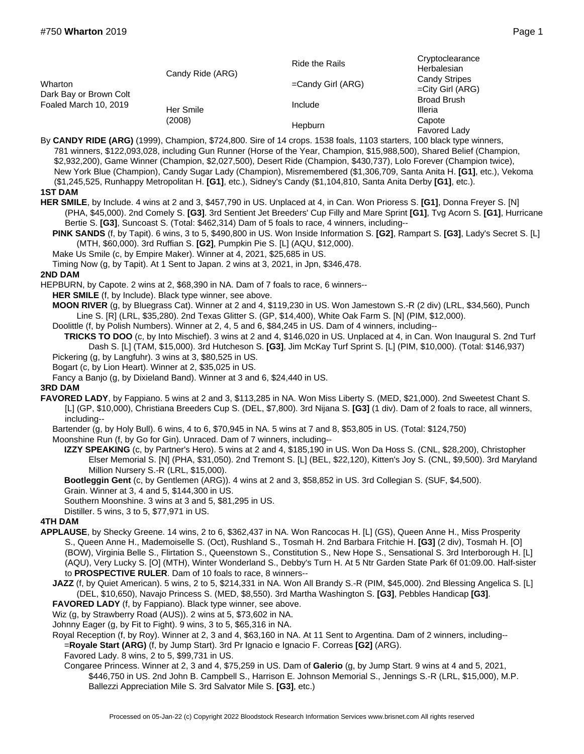| Wharton<br>Dark Bay or Brown Colt<br>Foaled March 10, 2019 | Candy Ride (ARG)    | Ride the Rails       | Cryptoclearance<br>Herbalesian<br><b>Candy Stripes</b><br>$=$ City Girl (ARG)<br><b>Broad Brush</b><br>Illeria |
|------------------------------------------------------------|---------------------|----------------------|----------------------------------------------------------------------------------------------------------------|
|                                                            |                     | $=$ Candy Girl (ARG) |                                                                                                                |
|                                                            | Her Smile<br>(2008) | Include              |                                                                                                                |
|                                                            |                     | Hepburn              | Capote<br>Favored Lady                                                                                         |

By **CANDY RIDE (ARG)** (1999), Champion, \$724,800. Sire of 14 crops. 1538 foals, 1103 starters, 100 black type winners, 781 winners, \$122,093,028, including Gun Runner (Horse of the Year, Champion, \$15,988,500), Shared Belief (Champion, \$2,932,200), Game Winner (Champion, \$2,027,500), Desert Ride (Champion, \$430,737), Lolo Forever (Champion twice), New York Blue (Champion), Candy Sugar Lady (Champion), Misremembered (\$1,306,709, Santa Anita H. **[G1]**, etc.), Vekoma (\$1,245,525, Runhappy Metropolitan H. **[G1]**, etc.), Sidney's Candy (\$1,104,810, Santa Anita Derby **[G1]**, etc.). **1ST DAM**

- 
- **HER SMILE**, by Include. 4 wins at 2 and 3, \$457,790 in US. Unplaced at 4, in Can. Won Prioress S. **[G1]**, Donna Freyer S. [N] (PHA, \$45,000). 2nd Comely S. **[G3]**. 3rd Sentient Jet Breeders' Cup Filly and Mare Sprint **[G1]**, Tvg Acorn S. **[G1]**, Hurricane Bertie S. **[G3]**, Suncoast S. (Total: \$462,314) Dam of 5 foals to race, 4 winners, including--

**PINK SANDS** (f, by Tapit). 6 wins, 3 to 5, \$490,800 in US. Won Inside Information S. **[G2]**, Rampart S. **[G3]**, Lady's Secret S. [L] (MTH, \$60,000). 3rd Ruffian S. **[G2]**, Pumpkin Pie S. [L] (AQU, \$12,000).

Make Us Smile (c, by Empire Maker). Winner at 4, 2021, \$25,685 in US.

Timing Now (g, by Tapit). At 1 Sent to Japan. 2 wins at 3, 2021, in Jpn, \$346,478.

## **2ND DAM**

HEPBURN, by Capote. 2 wins at 2, \$68,390 in NA. Dam of 7 foals to race, 6 winners--

**HER SMILE** (f, by Include). Black type winner, see above.

**MOON RIVER** (g, by Bluegrass Cat). Winner at 2 and 4, \$119,230 in US. Won Jamestown S.-R (2 div) (LRL, \$34,560), Punch Line S. [R] (LRL, \$35,280). 2nd Texas Glitter S. (GP, \$14,400), White Oak Farm S. [N] (PIM, \$12,000).

Doolittle (f, by Polish Numbers). Winner at 2, 4, 5 and 6, \$84,245 in US. Dam of 4 winners, including-- **TRICKS TO DOO** (c, by Into Mischief). 3 wins at 2 and 4, \$146,020 in US. Unplaced at 4, in Can. Won Inaugural S. 2nd Turf Dash S. [L] (TAM, \$15,000). 3rd Hutcheson S. **[G3]**, Jim McKay Turf Sprint S. [L] (PIM, \$10,000). (Total: \$146,937)

- Pickering (g, by Langfuhr). 3 wins at 3, \$80,525 in US.
- Bogart (c, by Lion Heart). Winner at 2, \$35,025 in US.
- Fancy a Banjo (g, by Dixieland Band). Winner at 3 and 6, \$24,440 in US.

## **3RD DAM**

**FAVORED LADY**, by Fappiano. 5 wins at 2 and 3, \$113,285 in NA. Won Miss Liberty S. (MED, \$21,000). 2nd Sweetest Chant S. [L] (GP, \$10,000), Christiana Breeders Cup S. (DEL, \$7,800). 3rd Nijana S. **[G3]** (1 div). Dam of 2 foals to race, all winners, including--

Bartender (g, by Holy Bull). 6 wins, 4 to 6, \$70,945 in NA. 5 wins at 7 and 8, \$53,805 in US. (Total: \$124,750)

Moonshine Run (f, by Go for Gin). Unraced. Dam of 7 winners, including--

**IZZY SPEAKING** (c, by Partner's Hero). 5 wins at 2 and 4, \$185,190 in US. Won Da Hoss S. (CNL, \$28,200), Christopher Elser Memorial S. [N] (PHA, \$31,050). 2nd Tremont S. [L] (BEL, \$22,120), Kitten's Joy S. (CNL, \$9,500). 3rd Maryland Million Nursery S.-R (LRL, \$15,000).

**Bootleggin Gent** (c, by Gentlemen (ARG)). 4 wins at 2 and 3, \$58,852 in US. 3rd Collegian S. (SUF, \$4,500).

Grain. Winner at 3, 4 and 5, \$144,300 in US.

Southern Moonshine. 3 wins at 3 and 5, \$81,295 in US.

Distiller. 5 wins, 3 to 5, \$77,971 in US.

## **4TH DAM**

- **APPLAUSE**, by Shecky Greene. 14 wins, 2 to 6, \$362,437 in NA. Won Rancocas H. [L] (GS), Queen Anne H., Miss Prosperity S., Queen Anne H., Mademoiselle S. (Oct), Rushland S., Tosmah H. 2nd Barbara Fritchie H. **[G3]** (2 div), Tosmah H. [O] (BOW), Virginia Belle S., Flirtation S., Queenstown S., Constitution S., New Hope S., Sensational S. 3rd Interborough H. [L] (AQU), Very Lucky S. [O] (MTH), Winter Wonderland S., Debby's Turn H. At 5 Ntr Garden State Park 6f 01:09.00. Half-sister to **PROSPECTIVE RULER**. Dam of 10 foals to race, 8 winners--
	- **JAZZ** (f, by Quiet American). 5 wins, 2 to 5, \$214,331 in NA. Won All Brandy S.-R (PIM, \$45,000). 2nd Blessing Angelica S. [L] (DEL, \$10,650), Navajo Princess S. (MED, \$8,550). 3rd Martha Washington S. **[G3]**, Pebbles Handicap **[G3]**.
	- **FAVORED LADY** (f, by Fappiano). Black type winner, see above.

Wiz (g, by Strawberry Road (AUS)). 2 wins at 5, \$73,602 in NA.

Johnny Eager (g, by Fit to Fight). 9 wins, 3 to 5, \$65,316 in NA.

Royal Reception (f, by Roy). Winner at 2, 3 and 4, \$63,160 in NA. At 11 Sent to Argentina. Dam of 2 winners, including-- =**Royale Start (ARG)** (f, by Jump Start). 3rd Pr Ignacio e Ignacio F. Correas **[G2]** (ARG).

Favored Lady. 8 wins, 2 to 5, \$99,731 in US.

Congaree Princess. Winner at 2, 3 and 4, \$75,259 in US. Dam of **Galerio** (g, by Jump Start. 9 wins at 4 and 5, 2021, \$446,750 in US. 2nd John B. Campbell S., Harrison E. Johnson Memorial S., Jennings S.-R (LRL, \$15,000), M.P. Ballezzi Appreciation Mile S. 3rd Salvator Mile S. **[G3]**, etc.)